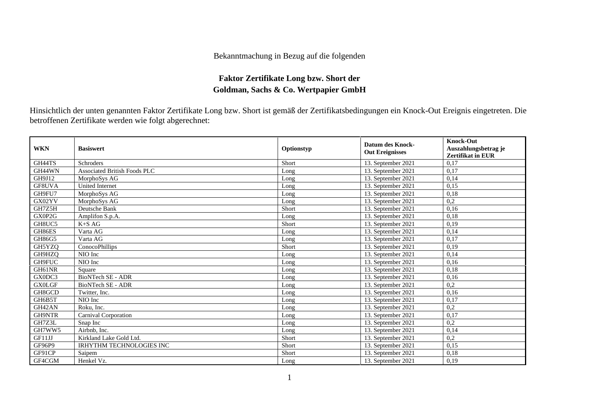## Bekanntmachung in Bezug auf die folgenden

## **Faktor Zertifikate Long bzw. Short der Goldman, Sachs & Co. Wertpapier GmbH**

Hinsichtlich der unten genannten Faktor Zertifikate Long bzw. Short ist gemäß der Zertifikatsbedingungen ein Knock-Out Ereignis eingetreten. Die betroffenen Zertifikate werden wie folgt abgerechnet:

| <b>WKN</b>    | <b>Basiswert</b>                    | Optionstyp | <b>Datum des Knock-</b><br><b>Out Ereignisses</b> | <b>Knock-Out</b><br>Auszahlungsbetrag je<br>Zertifikat in EUR |
|---------------|-------------------------------------|------------|---------------------------------------------------|---------------------------------------------------------------|
| GH44TS        | Schroders                           | Short      | 13. September 2021                                | 0.17                                                          |
| GH44WN        | <b>Associated British Foods PLC</b> | Long       | 13. September 2021                                | 0.17                                                          |
| GH9J12        | MorphoSys AG                        | Long       | 13. September 2021                                | 0,14                                                          |
| GF8UVA        | <b>United Internet</b>              | Long       | 13. September 2021                                | 0,15                                                          |
| GH9FU7        | MorphoSys AG                        | Long       | 13. September 2021                                | 0,18                                                          |
| GX02YV        | MorphoSys AG                        | Long       | 13. September 2021                                | 0.2                                                           |
| GH7Z5H        | Deutsche Bank                       | Short      | 13. September 2021                                | 0,16                                                          |
| GX0P2G        | Amplifon S.p.A.                     | Long       | 13. September 2021                                | 0,18                                                          |
| GH8UC5        | $K+SAG$                             | Short      | 13. September 2021                                | 0,19                                                          |
| GH86ES        | Varta AG                            | Long       | 13. September 2021                                | 0.14                                                          |
| GH86G5        | Varta AG                            | Long       | 13. September 2021                                | 0,17                                                          |
| GH5YZO        | ConocoPhillips                      | Short      | 13. September 2021                                | 0,19                                                          |
| GH9HZQ        | NIO Inc                             | Long       | 13. September 2021                                | 0,14                                                          |
| GH9FUC        | NIO Inc                             | Long       | 13. September 2021                                | 0,16                                                          |
| GH61NR        | Square                              | Long       | 13. September 2021                                | 0,18                                                          |
| GX0DC3        | <b>BioNTech SE - ADR</b>            | Long       | 13. September 2021                                | 0,16                                                          |
| <b>GX0LGF</b> | <b>BioNTech SE - ADR</b>            | Long       | 13. September 2021                                | 0,2                                                           |
| GH8GCD        | Twitter, Inc.                       | Long       | 13. September 2021                                | 0,16                                                          |
| GH6B5T        | NIO Inc                             | Long       | 13. September 2021                                | 0,17                                                          |
| GH42AN        | Roku, Inc.                          | Long       | 13. September 2021                                | 0,2                                                           |
| GH9NTR        | Carnival Corporation                | Long       | 13. September 2021                                | 0,17                                                          |
| GH7Z3L        | Snap Inc                            | Long       | 13. September 2021                                | 0,2                                                           |
| GH7WW5        | Airbnb, Inc.                        | Long       | 13. September 2021                                | 0,14                                                          |
| GF11JJ        | Kirkland Lake Gold Ltd.             | Short      | 13. September 2021                                | 0,2                                                           |
| <b>GF96P9</b> | <b>IRHYTHM TECHNOLOGIES INC</b>     | Short      | 13. September 2021                                | 0,15                                                          |
| GF91CP        | Saipem                              | Short      | 13. September 2021                                | 0,18                                                          |
| GF4CGM        | Henkel Vz.                          | Long       | 13. September 2021                                | 0,19                                                          |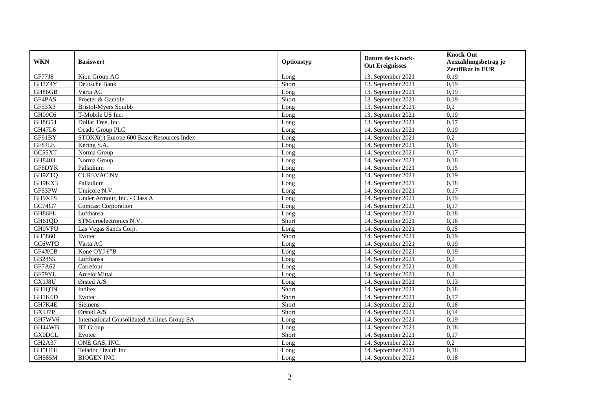| <b>WKN</b>    | <b>Basiswert</b>                                    | Optionstyp | <b>Datum des Knock-</b><br><b>Out Ereignisses</b> | <b>Knock-Out</b><br>Auszahlungsbetrag je<br><b>Zertifikat in EUR</b> |
|---------------|-----------------------------------------------------|------------|---------------------------------------------------|----------------------------------------------------------------------|
| <b>GF77J8</b> | Kion Group AG                                       | Long       | 13. September 2021                                | 0,19                                                                 |
| GH7Z4Y        | Deutsche Bank                                       | Short      | 13. September 2021                                | 0,19                                                                 |
| GH86GB        | Varta AG                                            | Long       | 13. September 2021                                | 0,19                                                                 |
| GF4PAS        | Procter & Gamble                                    | Short      | 13. September 2021                                | 0,19                                                                 |
| GF53X3        | <b>Bristol-Myers Squibb</b>                         | Long       | 13. September 2021                                | 0,2                                                                  |
| GH09C6        | T-Mobile US Inc.                                    | Long       | 13. September 2021                                | 0,19                                                                 |
| GH8G54        | Dollar Tree, Inc.                                   | Long       | 13. September 2021                                | 0,17                                                                 |
| <b>GH47L6</b> | Ocado Group PLC                                     | Long       | 14. September 2021                                | 0,19                                                                 |
| GF91BY        | STOXX(r) Europe 600 Basic Resources Index           | Long       | 14. September 2021                                | 0,2                                                                  |
| GF8JLE        | Kering S.A.                                         | Long       | 14. September 2021                                | 0,18                                                                 |
| GC55XT        | Norma Group                                         | Long       | 14. September 2021                                | 0,17                                                                 |
| GH8403        | Norma Group                                         | Long       | 14. September 2021                                | 0,18                                                                 |
| GF6DYK        | Palladium                                           | Long       | 14. September 2021                                | 0,15                                                                 |
| GH9ZTQ        | <b>CUREVAC NV</b>                                   | Long       | 14. September 2021                                | 0,19                                                                 |
| GH9KX3        | Palladium                                           | Long       | 14. September 2021                                | 0,18                                                                 |
| GF53PW        | Umicore N.V.                                        | Long       | 14. September 2021                                | 0,17                                                                 |
| GH9X1S        | Under Armour, Inc. - Class A                        | Long       | 14. September 2021                                | 0,19                                                                 |
| GC74G7        | <b>Comcast Corporation</b>                          | Long       | 14. September 2021                                | 0,17                                                                 |
| GH86FL        | Lufthansa                                           | Long       | 14. September 2021                                | 0,18                                                                 |
| GH61QD        | STMicroelectronics N.V.                             | Short      | 14. September 2021                                | 0,16                                                                 |
| <b>GH0VFU</b> | Las Vegas Sands Corp.                               | Long       | 14. September 2021                                | 0,15                                                                 |
| GH5860        | Evotec                                              | Short      | 14. September 2021                                | 0,19                                                                 |
| GC6WPD        | Varta AG                                            | Long       | 14. September 2021                                | 0,19                                                                 |
| GF4XCB        | Kone OYJ $\widehat{\in}$ "B                         | Long       | 14. September 2021                                | 0,19                                                                 |
| GB28S5        | Lufthansa                                           | Long       | 14. September 2021                                | 0,2                                                                  |
| GF7A62        | Carrefour                                           | Long       | 14. September 2021                                | 0,18                                                                 |
| GF79YL        | ArcelorMittal                                       | Long       | 14. September 2021                                | 0,2                                                                  |
| GX1J8U        | Ørsted A/S                                          | Long       | 14. September 2021                                | 0,13                                                                 |
| GH1QT9        | Inditex                                             | Short      | 14. September 2021                                | 0,18                                                                 |
| GH1K6D        | Evotec                                              | Short      | 14. September 2021                                | 0,17                                                                 |
| GH7K4E        | Siemens                                             | Short      | 14. September 2021                                | 0,18                                                                 |
| GX1J7P        | Ørsted A/S                                          | Short      | 14. September 2021                                | 0,14                                                                 |
| GH7WV6        | <b>International Consolidated Airlines Group SA</b> | Long       | 14. September 2021                                | 0,19                                                                 |
| GH44WB        | <b>BT</b> Group                                     | Long       | 14. September 2021                                | 0,18                                                                 |
| <b>GX0DCL</b> | Evotec                                              | Short      | 14. September 2021                                | 0,17                                                                 |
| GH2A37        | ONE GAS, INC.                                       | Long       | 14. September 2021                                | 0,2                                                                  |
| GH5U1H        | Teladoc Health Inc                                  | Long       | 14. September 2021                                | 0,18                                                                 |
| <b>GH585M</b> | <b>BIOGEN INC.</b>                                  | Long       | 14. September 2021                                | 0,18                                                                 |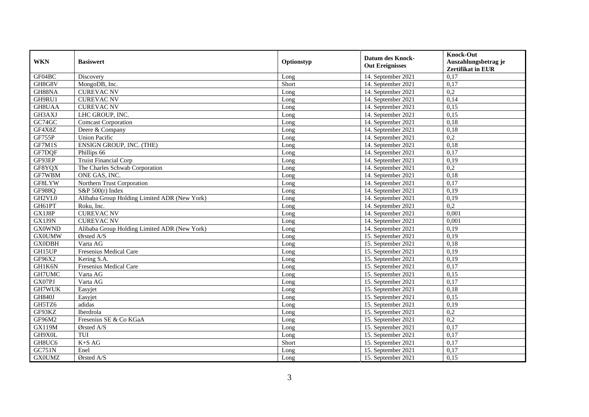| <b>WKN</b>    | <b>Basiswert</b>                             | Optionstyp | <b>Datum des Knock-</b><br><b>Out Ereignisses</b> | <b>Knock-Out</b><br>Auszahlungsbetrag je<br><b>Zertifikat in EUR</b> |
|---------------|----------------------------------------------|------------|---------------------------------------------------|----------------------------------------------------------------------|
| GF04BC        | Discovery                                    | Long       | 14. September 2021                                | 0,17                                                                 |
| GH8G8V        | MongoDB, Inc.                                | Short      | 14. September 2021                                | 0,17                                                                 |
| GH88NA        | <b>CUREVAC NV</b>                            | Long       | 14. September 2021                                | 0,2                                                                  |
| GH9RU1        | <b>CUREVAC NV</b>                            | Long       | 14. September 2021                                | 0,14                                                                 |
| GH8UAA        | <b>CUREVAC NV</b>                            | Long       | 14. September 2021                                | 0,15                                                                 |
| GH3AXJ        | LHC GROUP, INC.                              | Long       | 14. September 2021                                | 0,15                                                                 |
| GC74GC        | <b>Comcast Corporation</b>                   | Long       | 14. September 2021                                | 0,18                                                                 |
| GF4X8Z        | Deere & Company                              | Long       | 14. September 2021                                | 0,18                                                                 |
| GF755P        | <b>Union Pacific</b>                         | Long       | 14. September 2021                                | 0,2                                                                  |
| GF7M1S        | ENSIGN GROUP, INC. (THE)                     | Long       | 14. September 2021                                | 0,18                                                                 |
| GF7DQF        | Phillips 66                                  | Long       | 14. September 2021                                | 0,17                                                                 |
| GF93EP        | Truist Financial Corp                        | Long       | 14. September 2021                                | 0,19                                                                 |
| GF8YQX        | The Charles Schwab Corporation               | Long       | 14. September 2021                                | 0,2                                                                  |
| GF7WBM        | ONE GAS, INC.                                | Long       | 14. September 2021                                | 0,18                                                                 |
| GF8LYW        | Northern Trust Corporation                   | Long       | 14. September 2021                                | 0,17                                                                 |
| GF988Q        | S&P $500(r)$ Index                           | Long       | 14. September 2021                                | 0,19                                                                 |
| GH2VL0        | Alibaba Group Holding Limited ADR (New York) | Long       | 14. September 2021                                | 0,19                                                                 |
| GH61PT        | Roku, Inc.                                   | Long       | 14. September 2021                                | 0,2                                                                  |
| GX1J8P        | <b>CUREVAC NV</b>                            | Long       | 14. September 2021                                | 0,001                                                                |
| GX1J9N        | <b>CUREVAC NV</b>                            | Long       | 14. September 2021                                | 0,001                                                                |
| <b>GX0WND</b> | Alibaba Group Holding Limited ADR (New York) | Long       | 14. September 2021                                | 0,19                                                                 |
| <b>GX0UMW</b> | Ørsted A/S                                   | Long       | 15. September 2021                                | 0,19                                                                 |
| <b>GX0DBH</b> | Varta AG                                     | Long       | 15. September 2021                                | 0,18                                                                 |
| GH15UP        | Fresenius Medical Care                       | Long       | 15. September 2021                                | 0,19                                                                 |
| GF96X2        | Kering S.A.                                  | Long       | 15. September 2021                                | 0.19                                                                 |
| GH1K6N        | Fresenius Medical Care                       | Long       | 15. September 2021                                | 0,17                                                                 |
| GH7UMC        | Varta AG                                     | Long       | 15. September 2021                                | 0,15                                                                 |
| GX07PJ        | Varta AG                                     | Long       | 15. September 2021                                | 0,17                                                                 |
| GH7WUK        | Easyjet                                      | Long       | 15. September 2021                                | 0,18                                                                 |
| <b>GH840J</b> | Easyjet                                      | Long       | 15. September 2021                                | 0,15                                                                 |
| GH5TZ6        | adidas                                       | Long       | 15. September 2021                                | 0,19                                                                 |
| GF93KZ        | Iberdrola                                    | Long       | 15. September 2021                                | 0,2                                                                  |
| GF96M2        | Fresenius SE & Co KGaA                       | Long       | 15. September 2021                                | 0,2                                                                  |
| <b>GX119M</b> | Ørsted A/S                                   | Long       | 15. September 2021                                | 0,17                                                                 |
| GH9X0L        | TUI                                          | Long       | 15. September 2021                                | 0,17                                                                 |
| GH8UC6        | $K+SAG$                                      | Short      | 15. September 2021                                | 0,17                                                                 |
| GC751N        | Enel                                         | Long       | 15. September 2021                                | 0,17                                                                 |
| <b>GX0UMZ</b> | Ørsted A/S                                   | Long       | 15. September 2021                                | 0,15                                                                 |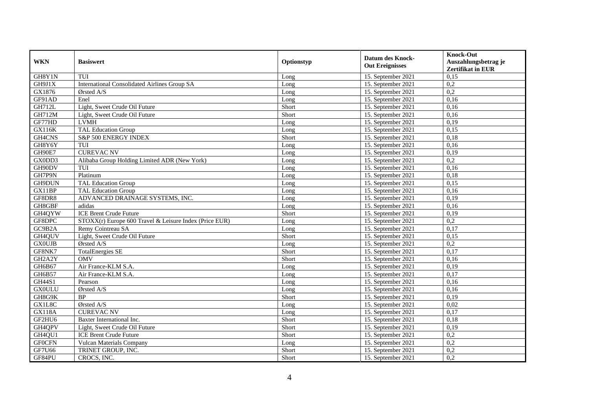| <b>WKN</b>    | <b>Basiswert</b>                                       | Optionstyp | <b>Datum des Knock-</b><br><b>Out Ereignisses</b> | <b>Knock-Out</b><br>Auszahlungsbetrag je<br>Zertifikat in EUR |
|---------------|--------------------------------------------------------|------------|---------------------------------------------------|---------------------------------------------------------------|
| GH8Y1N        | TUI                                                    | Long       | 15. September 2021                                | 0,15                                                          |
| GH9J1X        | International Consolidated Airlines Group SA           | Long       | 15. September 2021                                | 0,2                                                           |
| GX1876        | Ørsted A/S                                             | Long       | 15. September 2021                                | 0,2                                                           |
| GF91AD        | Enel                                                   | Long       | 15. September 2021                                | 0.16                                                          |
| <b>GH712L</b> | Light, Sweet Crude Oil Future                          | Short      | 15. September 2021                                | 0,16                                                          |
| <b>GH712M</b> | Light, Sweet Crude Oil Future                          | Short      | 15. September 2021                                | 0,16                                                          |
| GF77HD        | <b>LVMH</b>                                            | Long       | 15. September 2021                                | 0,19                                                          |
| GX116K        | <b>TAL Education Group</b>                             | Long       | 15. September 2021                                | 0,15                                                          |
| GH4CNS        | S&P 500 ENERGY INDEX                                   | Short      | 15. September 2021                                | 0,18                                                          |
| GH8Y6Y        | TUI                                                    | Long       | 15. September 2021                                | 0,16                                                          |
| GH90E7        | <b>CUREVAC NV</b>                                      | Long       | 15. September 2021                                | 0,19                                                          |
| GX0DD3        | Alibaba Group Holding Limited ADR (New York)           | Long       | 15. September 2021                                | 0,2                                                           |
| GH90DV        | TUI                                                    | Long       | 15. September 2021                                | 0,16                                                          |
| GH7P9N        | Platinum                                               | Long       | 15. September 2021                                | 0,18                                                          |
| GH9DUN        | <b>TAL Education Group</b>                             | Long       | 15. September 2021                                | 0,15                                                          |
| GX11BP        | <b>TAL Education Group</b>                             | Long       | 15. September 2021                                | 0,16                                                          |
| GF8DR8        | ADVANCED DRAINAGE SYSTEMS, INC.                        | Long       | 15. September 2021                                | 0,19                                                          |
| GH8GBF        | adidas                                                 | Long       | 15. September 2021                                | 0,16                                                          |
| GH4QYW        | <b>ICE Brent Crude Future</b>                          | Short      | 15. September 2021                                | 0,19                                                          |
| GF8DPC        | STOXX(r) Europe 600 Travel & Leisure Index (Price EUR) | Long       | 15. September 2021                                | 0,2                                                           |
| GC9B2A        | Remy Cointreau SA                                      | Long       | 15. September 2021                                | 0,17                                                          |
| GH4QUV        | Light, Sweet Crude Oil Future                          | Short      | 15. September 2021                                | 0,15                                                          |
| <b>GX0UJB</b> | Ørsted A/S                                             | Long       | 15. September 2021                                | 0,2                                                           |
| GF8NK7        | <b>TotalEnergies SE</b>                                | Short      | 15. September 2021                                | 0,17                                                          |
| GH2A2Y        | <b>OMV</b>                                             | Short      | 15. September 2021                                | 0,16                                                          |
| GH6B67        | Air France-KLM S.A.                                    | Long       | 15. September 2021                                | 0,19                                                          |
| GH6B57        | Air France-KLM S.A.                                    | Long       | 15. September 2021                                | 0,17                                                          |
| GH44S1        | Pearson                                                | Long       | 15. September 2021                                | 0,16                                                          |
| <b>GX0ULU</b> | Ørsted A/S                                             | Long       | 15. September 2021                                | 0,16                                                          |
| GH8G9K        | <b>BP</b>                                              | Short      | 15. September 2021                                | 0,19                                                          |
| GX1L8C        | Ørsted A/S                                             | Long       | 15. September 2021                                | 0,02                                                          |
| <b>GX118A</b> | <b>CUREVAC NV</b>                                      | Long       | 15. September 2021                                | 0,17                                                          |
| GF2HU6        | Baxter International Inc.                              | Short      | 15. September 2021                                | 0,18                                                          |
| GH4QPV        | Light, Sweet Crude Oil Future                          | Short      | 15. September 2021                                | 0,19                                                          |
| GH4QU1        | <b>ICE Brent Crude Future</b>                          | Short      | 15. September 2021                                | 0,2                                                           |
| <b>GFOCFN</b> | <b>Vulcan Materials Company</b>                        | Long       | 15. September 2021                                | 0,2                                                           |
| GF7U66        | TRINET GROUP, INC.                                     | Short      | 15. September 2021                                | 0,2                                                           |
| GF84PU        | CROCS, INC.                                            | Short      | 15. September 2021                                | 0,2                                                           |